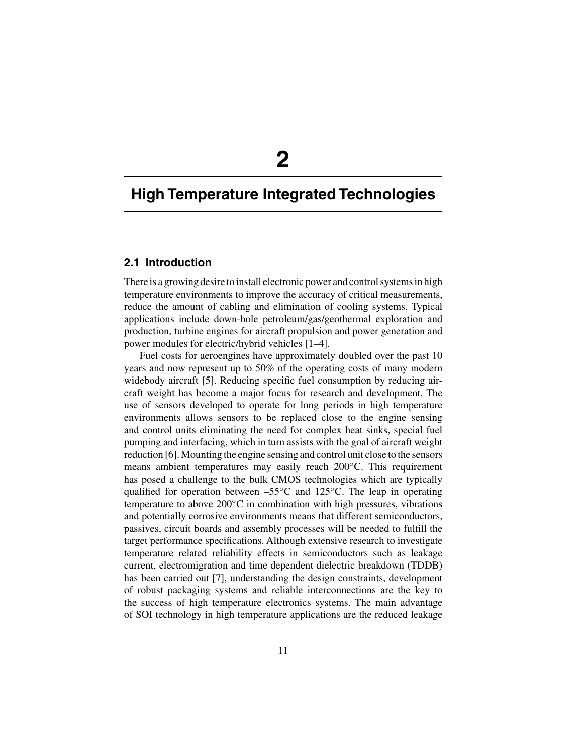# **2**

# **High Temperature Integrated Technologies**

## **2.1 Introduction**

There is a growing desire to install electronic power and control systems in high temperature environments to improve the accuracy of critical measurements, reduce the amount of cabling and elimination of cooling systems. Typical applications include down-hole petroleum/gas/geothermal exploration and production, turbine engines for aircraft propulsion and power generation and power modules for electric/hybrid vehicles [1–4].

Fuel costs for aeroengines have approximately doubled over the past 10 years and now represent up to 50% of the operating costs of many modern widebody aircraft [5]. Reducing specific fuel consumption by reducing aircraft weight has become a major focus for research and development. The use of sensors developed to operate for long periods in high temperature environments allows sensors to be replaced close to the engine sensing and control units eliminating the need for complex heat sinks, special fuel pumping and interfacing, which in turn assists with the goal of aircraft weight reduction [6]. Mounting the engine sensing and control unit close to the sensors means ambient temperatures may easily reach 200◦C. This requirement has posed a challenge to the bulk CMOS technologies which are typically qualified for operation between  $-55\degree$ C and 125 $\degree$ C. The leap in operating temperature to above  $200^{\circ}$ C in combination with high pressures, vibrations and potentially corrosive environments means that different semiconductors, passives, circuit boards and assembly processes will be needed to fulfill the target performance specifications. Although extensive research to investigate temperature related reliability effects in semiconductors such as leakage current, electromigration and time dependent dielectric breakdown (TDDB) has been carried out [7], understanding the design constraints, development of robust packaging systems and reliable interconnections are the key to the success of high temperature electronics systems. The main advantage of SOI technology in high temperature applications are the reduced leakage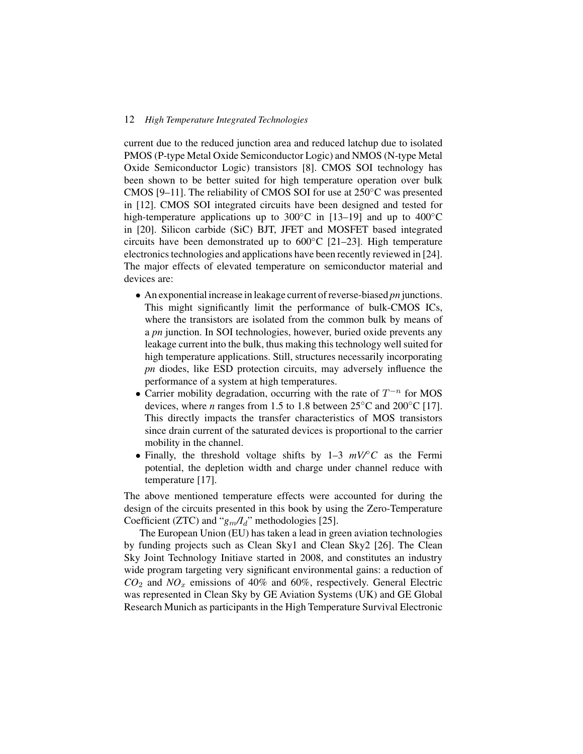#### 12 *High Temperature Integrated Technologies*

current due to the reduced junction area and reduced latchup due to isolated PMOS (P-type Metal Oxide Semiconductor Logic) and NMOS (N-type Metal Oxide Semiconductor Logic) transistors [8]. CMOS SOI technology has been shown to be better suited for high temperature operation over bulk CMOS [9–11]. The reliability of CMOS SOI for use at  $250^{\circ}$ C was presented in [12]. CMOS SOI integrated circuits have been designed and tested for high-temperature applications up to 300 $^{\circ}$ C in [13–19] and up to 400 $^{\circ}$ C in [20]. Silicon carbide (SiC) BJT, JFET and MOSFET based integrated circuits have been demonstrated up to 600◦C [21–23]. High temperature electronics technologies and applications have been recently reviewed in [24]. The major effects of elevated temperature on semiconductor material and devices are:

- An exponential increase in leakage current of reverse-biased *pn* junctions. This might significantly limit the performance of bulk-CMOS ICs, where the transistors are isolated from the common bulk by means of a *pn* junction. In SOI technologies, however, buried oxide prevents any leakage current into the bulk, thus making this technology well suited for high temperature applications. Still, structures necessarily incorporating *pn* diodes, like ESD protection circuits, may adversely influence the performance of a system at high temperatures.
- Carrier mobility degradation, occurring with the rate of  $T^{-n}$  for MOS devices, where *n* ranges from 1.5 to 1.8 between  $25^{\circ}$ C and  $200^{\circ}$ C [17]. This directly impacts the transfer characteristics of MOS transistors since drain current of the saturated devices is proportional to the carrier mobility in the channel.
- Finally, the threshold voltage shifts by 1–3  $mV$ <sup> $\circ$ </sup>C as the Fermi potential, the depletion width and charge under channel reduce with temperature [17].

The above mentioned temperature effects were accounted for during the design of the circuits presented in this book by using the Zero-Temperature Coefficient (ZTC) and " $g_m/I_d$ " methodologies [25].

The European Union (EU) has taken a lead in green aviation technologies by funding projects such as Clean Sky1 and Clean Sky2 [26]. The Clean Sky Joint Technology Initiave started in 2008, and constitutes an industry wide program targeting very significant environmental gains: a reduction of  $CO<sub>2</sub>$  and  $NO<sub>x</sub>$  emissions of 40% and 60%, respectively. General Electric was represented in Clean Sky by GE Aviation Systems (UK) and GE Global Research Munich as participants in the High Temperature Survival Electronic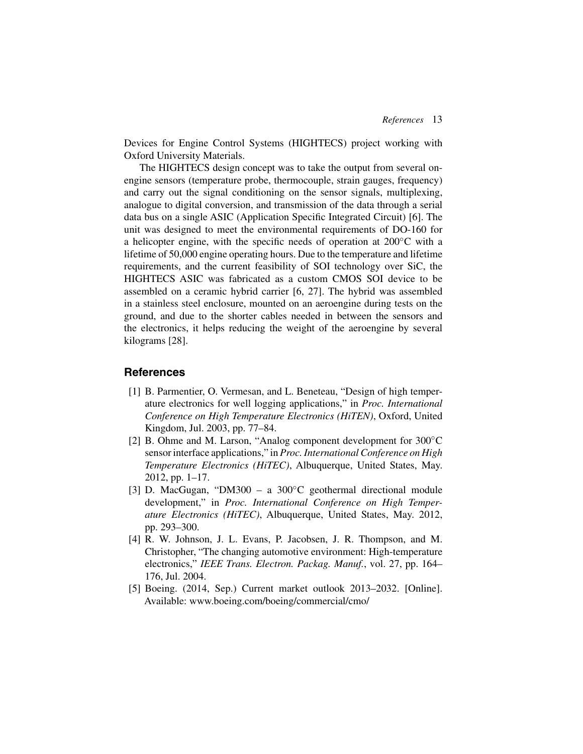Devices for Engine Control Systems (HIGHTECS) project working with Oxford University Materials.

The HIGHTECS design concept was to take the output from several onengine sensors (temperature probe, thermocouple, strain gauges, frequency) and carry out the signal conditioning on the sensor signals, multiplexing, analogue to digital conversion, and transmission of the data through a serial data bus on a single ASIC (Application Specific Integrated Circuit) [6]. The unit was designed to meet the environmental requirements of DO-160 for a helicopter engine, with the specific needs of operation at 200◦C with a lifetime of 50,000 engine operating hours. Due to the temperature and lifetime requirements, and the current feasibility of SOI technology over SiC, the HIGHTECS ASIC was fabricated as a custom CMOS SOI device to be assembled on a ceramic hybrid carrier [6, 27]. The hybrid was assembled in a stainless steel enclosure, mounted on an aeroengine during tests on the ground, and due to the shorter cables needed in between the sensors and the electronics, it helps reducing the weight of the aeroengine by several kilograms [28].

## **References**

- [1] B. Parmentier, O. Vermesan, and L. Beneteau, "Design of high temperature electronics for well logging applications," in *Proc. International Conference on High Temperature Electronics (HiTEN)*, Oxford, United Kingdom, Jul. 2003, pp. 77–84.
- [2] B. Ohme and M. Larson, "Analog component development for 300<sup>°</sup>C sensor interface applications," in *Proc. International Conference on High Temperature Electronics (HiTEC)*, Albuquerque, United States, May. 2012, pp. 1–17.
- [3] D. MacGugan, "DM300 a 300°C geothermal directional module development," in *Proc. International Conference on High Temperature Electronics (HiTEC)*, Albuquerque, United States, May. 2012, pp. 293–300.
- [4] R. W. Johnson, J. L. Evans, P. Jacobsen, J. R. Thompson, and M. Christopher, "The changing automotive environment: High-temperature electronics," *IEEE Trans. Electron. Packag. Manuf.*, vol. 27, pp. 164– 176, Jul. 2004.
- [5] Boeing. (2014, Sep.) Current market outlook 2013–2032. [Online]. Available: www.boeing.com/boeing/commercial/cmo/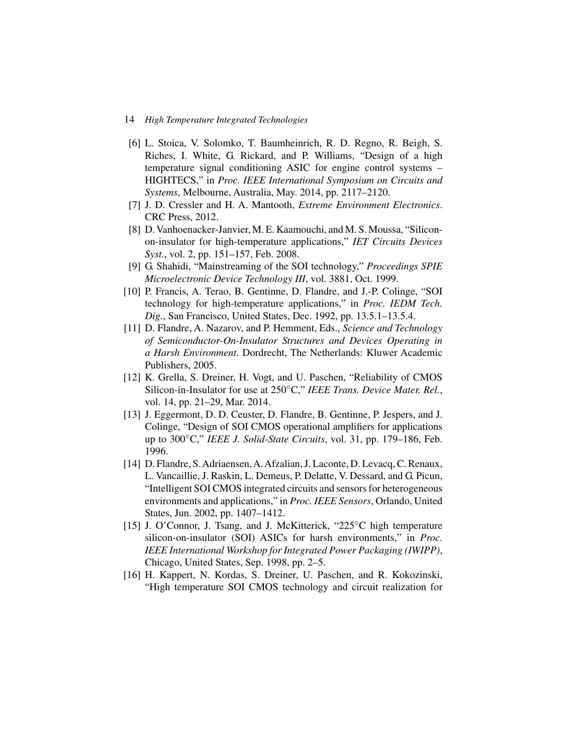#### 14 *High Temperature Integrated Technologies*

- [6] L. Stoica, V. Solomko, T. Baumheinrich, R. D. Regno, R. Beigh, S. Riches, I. White, G. Rickard, and P. Williams, "Design of a high temperature signal conditioning ASIC for engine control systems – HIGHTECS," in *Proc. IEEE International Symposium on Circuits and Systems*, Melbourne, Australia, May. 2014, pp. 2117–2120.
- [7] J. D. Cressler and H. A. Mantooth, *Extreme Environment Electronics*. CRC Press, 2012.
- [8] D. Vanhoenacker-Janvier, M. E. Kaamouchi, and M. S. Moussa, "Siliconon-insulator for high-temperature applications," *IET Circuits Devices Syst.*, vol. 2, pp. 151–157, Feb. 2008.
- [9] G. Shahidi, "Mainstreaming of the SOI technology," *Proceedings SPIE Microelectronic Device Technology III*, vol. 3881, Oct. 1999.
- [10] P. Francis, A. Terao, B. Gentinne, D. Flandre, and J.-P. Colinge, "SOI technology for high-temperature applications," in *Proc. IEDM Tech. Dig.*, San Francisco, United States, Dec. 1992, pp. 13.5.1–13.5.4.
- [11] D. Flandre, A. Nazarov, and P. Hemment, Eds., *Science and Technology of Semiconductor-On-Insulator Structures and Devices Operating in a Harsh Environment*. Dordrecht, The Netherlands: Kluwer Academic Publishers, 2005.
- [12] K. Grella, S. Dreiner, H. Vogt, and U. Paschen, "Reliability of CMOS Silicon-in-Insulator for use at 250◦C," *IEEE Trans. Device Mater. Rel.*, vol. 14, pp. 21–29, Mar. 2014.
- [13] J. Eggermont, D. D. Ceuster, D. Flandre, B. Gentinne, P. Jespers, and J. Colinge, "Design of SOI CMOS operational amplifiers for applications up to 300◦C," *IEEE J. Solid-State Circuits*, vol. 31, pp. 179–186, Feb. 1996.
- [14] D. Flandre, S.Adriaensen,A.Afzalian, J. Laconte, D. Levacq, C. Renaux, L. Vancaillie, J. Raskin, L. Demeus, P. Delatte, V. Dessard, and G. Picun, "Intelligent SOI CMOS integrated circuits and sensors for heterogeneous environments and applications," in *Proc. IEEE Sensors*, Orlando, United States, Jun. 2002, pp. 1407–1412.
- [15] J. O'Connor, J. Tsang, and J. McKitterick, "225°C high temperature silicon-on-insulator (SOI) ASICs for harsh environments," in *Proc. IEEE International Workshop for Integrated Power Packaging (IWIPP)*, Chicago, United States, Sep. 1998, pp. 2–5.
- [16] H. Kappert, N. Kordas, S. Dreiner, U. Paschen, and R. Kokozinski, "High temperature SOI CMOS technology and circuit realization for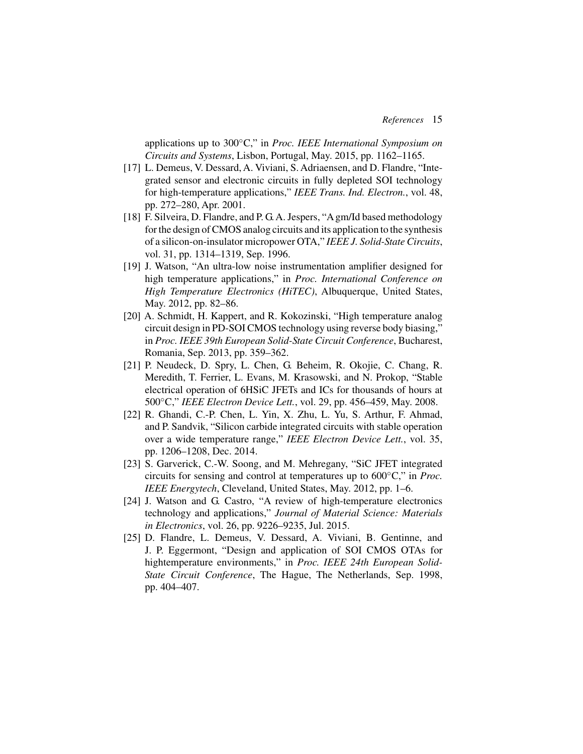applications up to 300◦C," in *Proc. IEEE International Symposium on Circuits and Systems*, Lisbon, Portugal, May. 2015, pp. 1162–1165.

- [17] L. Demeus, V. Dessard, A. Viviani, S. Adriaensen, and D. Flandre, "Integrated sensor and electronic circuits in fully depleted SOI technology for high-temperature applications," *IEEE Trans. Ind. Electron.*, vol. 48, pp. 272–280, Apr. 2001.
- [18] F. Silveira, D. Flandre, and P. G. A. Jespers, "A gm/Id based methodology for the design of CMOS analog circuits and its application to the synthesis of a silicon-on-insulator micropower OTA," *IEEE J. Solid-State Circuits*, vol. 31, pp. 1314–1319, Sep. 1996.
- [19] J. Watson, "An ultra-low noise instrumentation amplifier designed for high temperature applications," in *Proc. International Conference on High Temperature Electronics (HiTEC)*, Albuquerque, United States, May. 2012, pp. 82–86.
- [20] A. Schmidt, H. Kappert, and R. Kokozinski, "High temperature analog circuit design in PD-SOI CMOS technology using reverse body biasing," in *Proc. IEEE 39th European Solid-State Circuit Conference*, Bucharest, Romania, Sep. 2013, pp. 359–362.
- [21] P. Neudeck, D. Spry, L. Chen, G. Beheim, R. Okojie, C. Chang, R. Meredith, T. Ferrier, L. Evans, M. Krasowski, and N. Prokop, "Stable electrical operation of 6HSiC JFETs and ICs for thousands of hours at 500◦C," *IEEE Electron Device Lett.*, vol. 29, pp. 456–459, May. 2008.
- [22] R. Ghandi, C.-P. Chen, L. Yin, X. Zhu, L. Yu, S. Arthur, F. Ahmad, and P. Sandvik, "Silicon carbide integrated circuits with stable operation over a wide temperature range," *IEEE Electron Device Lett.*, vol. 35, pp. 1206–1208, Dec. 2014.
- [23] S. Garverick, C.-W. Soong, and M. Mehregany, "SiC JFET integrated circuits for sensing and control at temperatures up to 600◦C," in *Proc. IEEE Energytech*, Cleveland, United States, May. 2012, pp. 1–6.
- [24] J. Watson and G. Castro, "A review of high-temperature electronics technology and applications," *Journal of Material Science: Materials in Electronics*, vol. 26, pp. 9226–9235, Jul. 2015.
- [25] D. Flandre, L. Demeus, V. Dessard, A. Viviani, B. Gentinne, and J. P. Eggermont, "Design and application of SOI CMOS OTAs for hightemperature environments," in *Proc. IEEE 24th European Solid-State Circuit Conference*, The Hague, The Netherlands, Sep. 1998, pp. 404–407.